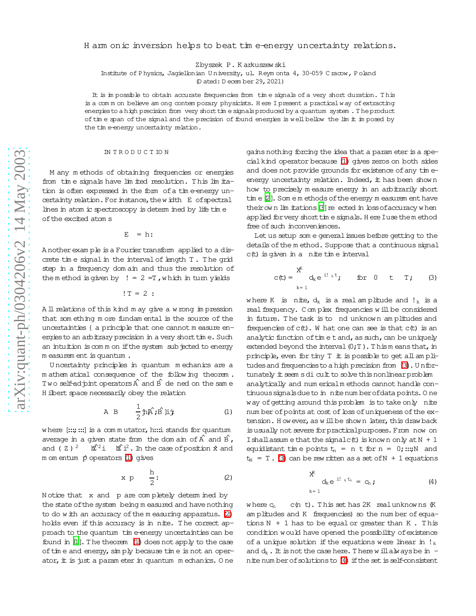## H am onic inversion helps to beat time-energy uncertainty relations.

Zbyszek P. Karkuszewski

Institute of Physics, Jaqiellonian University, ul. Reymonta 4, 30-059 Cracow, Poland

(D ated: D ecember 29, 2021)

It is in possible to obtain accurate frequencies from time signals of a very short duration. This is a comm on believe am ong contemporary physicists. Here I present a practical way of extracting energies to a high precision from very short time signals produced by a quantum system. The product of time span of the signal and the precision of found energies is well bellow the lim it in posed by the time-energy uncertainty relation.

## **INTRODUCTION**

M any methods of obtaining frequencies or energies from time signals have limited resolution. This limitation is often expressed in the form of a time-energy uncertainty relation. For instance, the width E of spectral lines in atom ic spectroscopy is determ ined by life time of the excited atom s

 $E = h$ :

A nother example is a Fourier transform applied to a discrete time signal in the interval of length T. The grid step in a frequency dom ain and thus the resolution of the method is given by  $!= 2 = T$ , which in turn yields

 $!T = 2:$ 

All relations of this kind m ay give a wrong impression that something more fundamental is the source of the uncertainties { a principle that one cannot m easure energies to an arbitrary precision in a very short time. Such an intuition is common if the system subjected to energy m easurem ent is quantum.

Uncertainty principles in quantum mechanics are a mathem atical consequence of the following theorem. Two self-ad pint operators  $\hat{A}$  and  $\hat{B}$  de ned on the same H ilbert space necessarily obey the relation

$$
A \quad B \qquad \frac{1}{2} \hbar \hat{A} \; ; \; B \; \text{lij} \tag{1}
$$

<span id="page-0-0"></span>where  $[::;::]$  is a commutator, h:: i stands for quantum average in a given state from the dom ain of  $\hat{A}$  and  $\hat{B}$ , and  $( Z )$   $^2$  $\hat{\mathbb{Z}}^2$ i  $\hat{\mathbb{Z}}^2$ . In the case of position  $\hat{x}$  and m om entum  $\hat{p}$  operators (1) gives

$$
x p \quad \frac{h}{2}:
$$
 (2)

<span id="page-0-1"></span>Notice that x and p are completely determined by the state of the system being measured and have nothing to do with an accuracy of the measuring apparatus. (2) holds even if this accuracy is in nite. The correct approach to the quantum time energy uncertainties can be found in [1]. The theorem (1) does not apply to the case of time and energy, simply because time is not an operator, it is just a parameter in quantum mechanics. One

gains nothing forcing the idea that a param eter is a special kind operator because (1) gives zeros on both sides and does not provide grounds for existence of any timeenergy uncertainty relation. Indeed, it has been shown how to precisely measure energy in an arbitrarily short time [2]. Some methods of the energy measurement have their own lim itations [3] re ected in loss of accuracy when applied for very short time signals. Here I use them ethod free of such inconveniences.

<span id="page-0-2"></span>Let us setup som e general issues before getting to the details of the method. Suppose that a continuous signal c(t) is given in a nite time interval

$$
c(t) = \begin{cases} x^{K} & \text{for } 0 \leq t \leq T; \\ k=1 \end{cases}
$$
 (3)

where K is nite,  $d_k$  is a real amplitude and  $!_k$  is a real frequency. Complex frequencies will be considered in future. The task is to nd unknown amplitudes and frequencies of  $c(t)$ . W hat one can see is that  $c(t)$  is an analytic function of timet and, as such, can be uniquely extended beyond the interval  $(0;T)$ . Thismeans that, in principle, even for tiny T it is possible to get all am plitudes and frequencies to a high precision from (3). Unfortunately it seem sdi cult to solve this nonlinear problem analytically and num erical m ethods cannot handle continuous signals due to in nite num berofdata points. One way of getting around this problem is to take only nite num ber of points at cost of loss of uniqueness of the extension. However, as will be shown later, this drawback is usually not severe for practical purposes. From now on I shall assume that the signal  $c(t)$  is known only at  $N + 1$ equidistant time points  $t_n = n$  t for  $n = 0$ ; ...; N and  $t_N = T$ . (3) can be rew ritten as a set of N + 1 equations

$$
X^K \t d_k e^{i! \t k t_n} = c_n \t ; \t (4)
$$

<span id="page-0-3"></span>c(n t). This set has 2K realunknowns (K  $w$  here  $c<sub>n</sub>$ am plitudes and K frequencies) so the number of equations  $N + 1$  has to be equal or queater than  $K$ . This condition would have opened the possibility of existence of a unique solution if the equations were linear in  $!_k$ and  $d_k$ . It is not the case here. There will always be in nite num ber of solutions to (4) if the set is self-consistent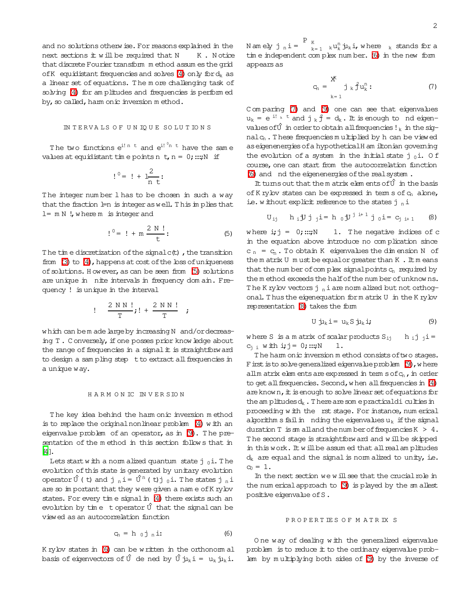and no solutions otherwise. For reasons explained in the next sections it will be required that N K. Notice that discrete Fourier transform method assumes the grid of K equidistant frequencies and solves (4) only for  $d_k$  as a linear set of equations. The more challenging task of solving (4) for am plitudes and frequencies is performed by, so called, ham onic inversion method.

## INTERVALS OF UNIQUE SOLUTIONS

The two functions  $e^{i! n t}$  and  $e^{i! n t}$  have the same values at equidistant time points n t, n =  $0$ ; :::; N if

$$
!\,^0 = \, ! + \frac{2}{n \, t}:
$$

<span id="page-1-0"></span>The integer number 1 has to be chosen in such a way that the fraction  $l=n$  is integer as well. This implies that  $l = m N$  !, where  $m$  is integer and

$$
!^0 = ! + m \frac{2 N !}{t} : \t\t(5)
$$

The time discretization of the signal  $c(t)$ , the transition from  $(3)$  to  $(4)$ , happens at cost of the  $\cos$  of uniqueness of solutions. However, as can be seen from (5) solutions are unique in nite intervals in frequency dom ain. Frequency ! is unique in the interval

$$
!\quad \frac{2 \text{ N N }!}{\text{T}};!\quad +\frac{2 \text{ N N }!}{\text{T}};
$$

which can be m ade large by increasing N and/ordecreasing T. Conversely, if one posses prior know ledge about the range of frequencies in a signal it is straightforward to design a sam pling step t to extract all frequencies in a unique way.

# HARMONIC INVERSION

The key idea behind the ham onic inversion method is to replace the original nonlinear problem  $(4)$  with an eigenvalue problem of an operator, as in (9). The presentation of the method in this section follows that in  $[4]$ .

Lets start with a norm alized quantum state  $j_0$ i. The evolution of this state is generated by unitary evolution operator  $\hat{U}$  (t) and j  $n = \hat{U}^n$  (t) j  $_0$  i. The states j  $_n$  i are so in portant that they were given a name of K rylov states. For every time signal in (4) there exists such an evolution by time to perator  $\hat{U}$  that the signal can be viewed as an autocorrelation function

$$
c_n = h_{0} j_n i: \tag{6}
$$

<span id="page-1-2"></span>K rylov states in (6) can be written in the orthonomal basis of eigenvectors of  $\hat{U}$  de ned by  $\hat{U}$  ju<sub>k</sub> i = u<sub>k</sub> ju<sub>k</sub> i. Namely j  $n$  i =  $\sum_{k=1}^{P} k u_k^n$  ju, i, where k stands for a time independent complex number. (6) in the new form appears as

$$
c_n = \sum_{k=1}^{X^k} j_k \hat{f} u_k^n: \tag{7}
$$

<span id="page-1-3"></span>Comparing (7) and (9) one can see that eigenvalues  $u_k = e^{i! k t}$  and  $j_k \hat{f} = d_k$ . It is enough to nd eigenvalues of  $\hat{U}$  in order to obtain all frequencies !  $_k$  in the sig $nalc_n$ . These frequencies multiplied by h can be viewed as eigenenergies of a hypothetical H am iltonian governing the evolution of a system in the initial state  $j_0$ i. Of course, one can start from the autocorrelation function (6) and nd the eigenenergies of the real system.

<span id="page-1-4"></span>It turns out that the m atrix elem ents of  $\hat{U}$  in the basis of K rylov states can be expressed in term s of c<sub>n</sub> alone, ie. w ithout explicit reference to the states  $j_n$  i

$$
U_{ij} \quad h_i \mathbf{U} \mathbf{j} \mathbf{j} = h_0 \mathbf{U}^{j_i+1} \mathbf{j} \mathbf{0} = c_{j_i+1} \quad (8)
$$

1. The negative indices of c where  $\mathbf{i} \cdot \mathbf{j} = 0$ :::: $N$ in the equation above introduce no complication since  $c_n = c_n$ . To obtain K eigenvalues the dimension N of the matrix  $U$  must be equal or greater than  $K$ . It means that the num ber of complex signal points c<sub>n</sub> required by them ethod exceeds the half of the number of unknowns. The K rylov vectors  $j_n$  i are norm alized but not orthogonal. Thus the eigenequation form atrix U in the K rylov representation (8) takes the form

$$
U j_{lk} i = u_k S j_{lk} i;
$$
 (9)

<span id="page-1-1"></span>where S is a m atrix of scalar products  $S_{ij}$  $h_{i}j_{i}i =$  $C_{i,i}$  with  $i,j = 0; \ldots; N$  $1$ .

The ham onic inversion method consists of two stages. F irst is to solve generalized eigenvalue problem  $(9)$ , where allm atrix elements are expressed in term  $s$  of  $c_n$ , in order to get all frequencies. Second, when all frequencies in (4) are known, it is enough to solve linear set of equations for the am plitudes  $d_k$ . There are some practical di culties in proceeding with the rst stage. For instance, num erical algorithm s fail in nding the eigenvalues  $u_k$  if the signal duration  $T$  is sm all and the num ber of frequencies  $K > 4$ . The second stage is straightforw ard and will be skipped in this work. It will be assumed that all real amplitudes  $d_k$  are equal and the signal is norm alized to unity, i.e.  $c_0 = 1$ .

In the next section we will see that the crucial role in the num erical approach to (9) is played by the sm allest positive eigenvalue of S.

#### PROPERTIES OF MATRIX S

One way of dealing with the generalized eigenvalue problem is to reduce it to the ordinary eigenvalue problem by multiplying both sides of (9) by the inverse of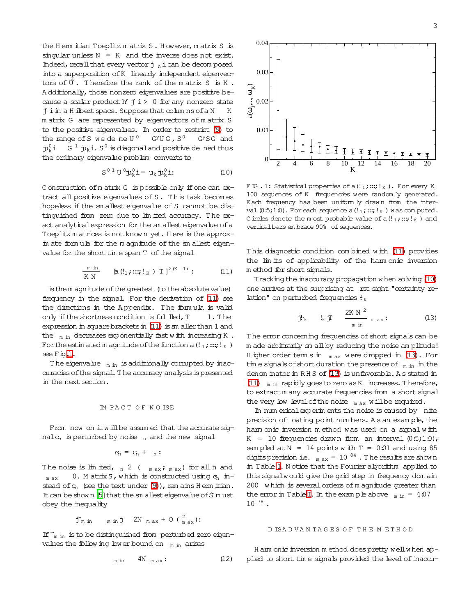the Hem itian Toeplitz matrix S. However, matrix S is singular unless  $N = K$  and the inverse does not exist. Indeed, recall that every vector  $j$   $_n$  i can be decom posed into a superposition of K linearly independent eigenvectors of  $\hat{U}$ . Therefore the rank of the matrix S is K. Additionally, those nonzero eigenvalues are positive because a scalar product h'  $\sharp$  i > 0 for any nonzero state j i in a H ilbert space. Suppose that columns of a N K m atrix G are represented by eigenvectors of m atrix S to the positive eigenvalues. In order to restrict (9) to the range of S we dene U<sup>0</sup> G<sup>y</sup>UG, S<sup>0</sup>  $G<sup>y</sup>SG$  and  $\mu_k^0$ i G<sup>1</sup> $\mu_k$ i. S<sup>0</sup> is diagonal and positive de ned thus the ordinary eigenvalue problem converts to

$$
S0 1 U0 jk0 i = uk jk0 i:
$$
 (10)

<span id="page-2-2"></span>Construction of matrix G is possible only if one can extract all positive eigenvalues of S. This task becomes hopeless if the smallest eigenvalue of S cannot be distinguished from zero due to lim ited accuracy. The exact analytical expression for the sm allest eigenvalue of a Toeplitz m atrices is not known yet. Here is the approxim ate form ula for the m agnitude of the sm allest eigenvalue for the short time span T of the signal

$$
\frac{m \text{ in}}{K \text{ N}} \qquad \left[ a \left( \frac{1}{1}, \dots, \frac{1}{K} \right) \text{ T} \right]^{2(K-1)}: \qquad (11)
$$

<span id="page-2-0"></span>is them agnitude of the greatest (to the absolute value) frequency in the signal. For the derivation of (11) see the directions in the Appendix. The formula is valid only if the shortness condition is fulled, T 1. The expression in square brackets in (11) is sm aller than 1 and the  $_{m \text{ in}}$  decreases exponentially fast with increasing K. For the estimated m agnitude of the function a  $($ !  $_1$ ; ...;  $!$   $_5$  ) see Fig.1.

The eigenvalue  $_{m \text{ in }}$  is additionally corrupted by inaccuracies of the signal. The accuracy analysis is presented in the next section.

From now on it will be assumed that the accurate sig $nalg_n$  is perturbed by noise  $_n$  and the new signal

$$
c_n = c_n + n:
$$

The noise is  $\lim_{n \to \infty} \frac{1}{n}$  and  $\lim_{n \to \infty} \frac{1}{n} \lim_{n \to \infty} \frac{1}{n}$  and  $\lim_{n \to \infty} \frac{1}{n} \lim_{n \to \infty} \frac{1}{n}$ 0. M atrix  $S$ , which is constructed using  $e_n$  inm ax stead of  $c_n$  (see the text under (9)), rem ains H erm itian. It can be shown [5] that the sm allest eigenvalue of S must obey the inequality

$$
\tilde{J}_{m \text{ in}}
$$
  $\tilde{J}$  2N  $max + O(\frac{2}{max})$ :

If  $\tilde{}$ <sub>m in</sub> is to be distinguished from perturbed zero eigenvalues the following lower bound on  $_m$  in arises

$$
m \text{ in } \quad 4N \quad m \text{ ax : } \tag{12}
$$



<span id="page-2-1"></span>FIG. 1: Statistical properties of a  $(!_1; \ldots; !_K)$ . For every K 100 sequences of K frequencies were randomly generated. Each frequency has been uniform by drawn from the interval  $(0.5;1.0)$ . For each sequence a  $(!_1;::;!_K)$  was computed. C incles denote the m ost probable value of a  $(!_1;::;!_K)$  and verticalbars em brace 90% of sequences.

This diagnostic condition combined with (11) provides the lim its of applicability of the ham onic inversion method for short signals.

<span id="page-2-3"></span>Tracking the inaccuracy propagation when solving (10) one arrives at the surprising at rst sight "certainty relation" on perturbed frequencies  $\frac{L}{k}$ 

$$
\mathbf{j}_{\mathbf{k}}^{\mathbf{k}} \qquad \mathbf{l}_{\mathbf{k}} \mathbf{J}^{\mathbf{r}} \qquad \frac{2\mathbf{K} \mathbf{N}^2}{m \text{ in } \mathbf{a}} \qquad \text{and} \qquad (13)
$$

The error concerning frequencies of short signals can be m ade arbitrarily sm all by reducing the noise am plitude! H igher order term s in  $_{max}$  were dropped in (13). For time signals of short duration the presence of  $_{\rm m,in}$  in the denom inator in RHS of (13) is unfavorable. As stated in (11)  $_{\text{m}$  in rapidly goes to zero as K increases. Therefore, to extract m any accurate frequencies from a short signal the very low level of the noise  $_{m \text{ ax}}$  will be required.

In num erical experim ents the noise is caused by nite precision of oating point numbers. As an example, the ham onic inversion method was used on a signal with  $K = 10$  frequencies drawn from an interval  $(0.5;1.0)$ , sam pled at  $N = 14$  points with  $T = 0.01$  and using 85 digits precision i.e.  $_{\text{max}}$  = 10  $^{84}$ . The results are shown in Table I. Notice that the Fourier algorithm applied to this signal would give the grid step in frequency dom ain 200 which is several orders of m agnitude greater than the error in Table I. In the example above  $_{\text{m in}} = 4.07$  $10^{78}$ .

## D ISADVANTAGES OF THE METHOD

H am onic inversion m ethod does pretty well when applied to short time signals provided the level of inaccu-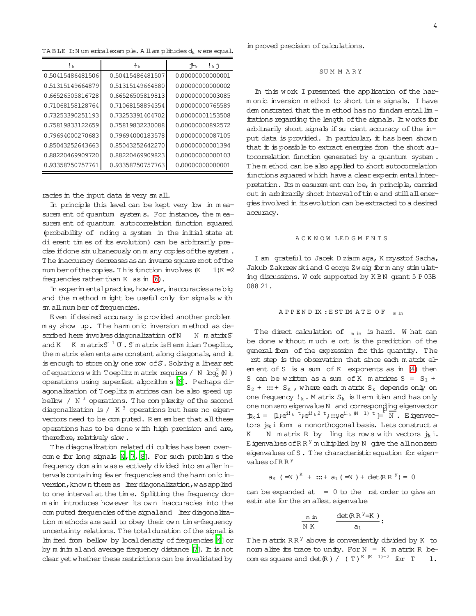<span id="page-3-0"></span>TA B LE I: N um erical exam  $p$  le. A ll am  $p$  litudes  $d_k$  were equal.

| ! k              | $\mathbf{t}_{k}$ | ኍ⊾<br>$!\kappa$ j |
|------------------|------------------|-------------------|
| 0.50415486481506 | 0.50415486481507 | 0.00000000000001  |
| 0.51315149664879 | 0.51315149664880 | 0.00000000000002  |
| 0.66526505816728 | 0.66526505819813 | 0.00000000003085  |
| 0.71068158128764 | 0.71068158894354 | 0.00000000765589  |
| 0.73253390251193 | 0.73253391404702 | 0.00000001153508  |
| 0.75819833122659 | 0.75819832230088 | 0.00000000892572  |
| 0.79694000270683 | 0.79694000183578 | 0.00000000087105  |
| 0.85043252643663 | 0.85043252642270 | 0.00000000001394  |
| 0.88220469909720 | 0.88220469909823 | 0.00000000000103  |
| 0.93358750757761 | 0.93358750757763 | 0.0000000000001   |

racies in the input data is very sm all.

In principle this level can be kept very low in m easurem ent of quantum system s. For instance, the measurem ent of quantum autocorrelation function squared (probability of nding a system in the initial state at dierent tim es of its evolution) can be arbitrarily precise if done sim ultaneously on m any copies of the system. The inaccuracy decreases as an inverse square root of the num ber of the copies. This function involves  $(K \t 1)K = 2$ frequencies rather than K as in [\(6\)](#page-1-2).

In experim ental practice, how ever, inaccuracies are big and the m ethod m ight be useful only for signals w ith sm all num ber of frequencies.

Even ifdesired accuracy is provided another problem m ay show up. T he harm onic inversion m ethod as described here involves diagonalization of N  $N$  m atrix  $S$ and K K m atrix $S^{-1}$   $\mathbb U$  . S m atrix is H erm itian Toeplitz, the m atrix elem ents are constant along diagonals, and  $#$ is enough to store only one row of S. Solving a linear set of equations with Toeplitz m atrix requires / N  $\log_2^2(N)$ operations using superfast algorithm s [\[6\]](#page-4-5). Perhaps diagonalization of Toeplitz m atrices can be also speed up bellow / N  $^3$  operations. The complexity of the second diagonalization is / K  $^3$  operations but here no eigenvectors need to be com puted. R em em ber that all these operations has to be done w ith high precision and are, therefore, relatively slow.

The diagonalization related di culties has been overcom e for long signals  $[4, 7, 8]$  $[4, 7, 8]$  $[4, 7, 8]$  $[4, 7, 8]$ . For such problem s the frequency dom ain wase ectively divided into sm aller intervals containing fewer frequencies and the harm onic inversion, know n there as lterdiagonalization, was applied to one intervalat the tim e. Splitting the frequency dom ain introduces however its ow n inaccuracies into the com puted frequencies of the signal and lter diagonalization m ethods are said to obey their ow n tim e-frequency uncertainty relations. The total duration of the signal is  $\lim$  ited from bellow by local density of frequencies [\[4](#page-4-3)] or by m inim aland average frequency distance [\[7\]](#page-4-6). It is not clear yet w hether these restrictions can be invalidated by

im proved precision of calculations.

#### SU M M A R Y

In this work I presented the application of the harm onic inversion m ethod to short tim e signals. I have dem onstrated that the m ethod has no fundam ental  $\lim$  itations regarding the length of the signals. It works for arbitrarily short signals if su cient accuracy of the input data is provided. In particular, it has been show n that it is possible to extract energies from the short autocorrelation function generated by a quantum system . The m ethod can be also applied to short autocorrelation functions squared w hich have a clear experim ental interpretation. Its m easurem ent can be, in principle, carried out in arbitrarily short interval of time and still all energiesinvolved in itsevolution can beextracted to a desired accuracy.

#### A C K N O W LE D G M E N T S

I am grateful to Jacek D ziarm aga, K rzysztof Sacha, Jakub Zakrzew skiand G eorge Zweig for m any stim ulating discussions. W ork supported by K BN grant 5 P03B 088 21.

## A P P E N D IX : E ST IM A T E O F m in

The direct calculation of  $_{m \text{ in }}$  is hard. W hat can be done w ithout m uch eort is the prediction of the general form of the expression for this quantity. T he rst step is the observation that since each m atrix elem ent of S is a sum of K exponents as in [\(4\)](#page-0-3) then S can be written as a sum of K m atrices  $S = S_1 +$  $S_2$  + ::: +  $S_K$ , where each m atrix  $S_k$  depends only on one frequency  $!_k$ . M atrix  $S_k$  is H erm itian and has only one nonzero eigenvalue N and corresponding eigenvector  $\mathbf{\dot{p}}_k$ i = [l;e<sup>i!k t</sup>;e<sup>i!k2 t</sup>;:::;e<sup>i!k (N 1) t</sup>  $\models$  N. Eigenvectors  $\dot{B}_k$  i form a nonorthogonal basis. Lets construct a K N m atrix R by ling its row s with vectors  $\dot{\mathbf{g}}_i$ . E igenvalues of  $RR<sup>y</sup>$  m ultiplied by N give the all nonzero eigenvalues of S. The characteristic equation for eigenvalues of  $R R$ <sup>y</sup>

$$
a_K
$$
 ( $\exists N$ )<sup>K</sup> + ::+  $a_1$  ( $\exists N$ ) + det( $\{R\}R$ )<sup>Y</sup>) = 0

can be expanded at  $= 0$  to the rst order to give an estim ate for the sm allest eigenvalue

$$
\frac{\min}{NK} \qquad \frac{\det(R R^{\gamma} = K)}{a_1}:
$$

The m atrix  $RR<sup>y</sup>$  above is conveniently divided by K to norm alize its trace to unity. For  $N = K$  m atrix R becom es square and  $det(R) / (T)^{K (K - 1) = 2}$  for T 1.